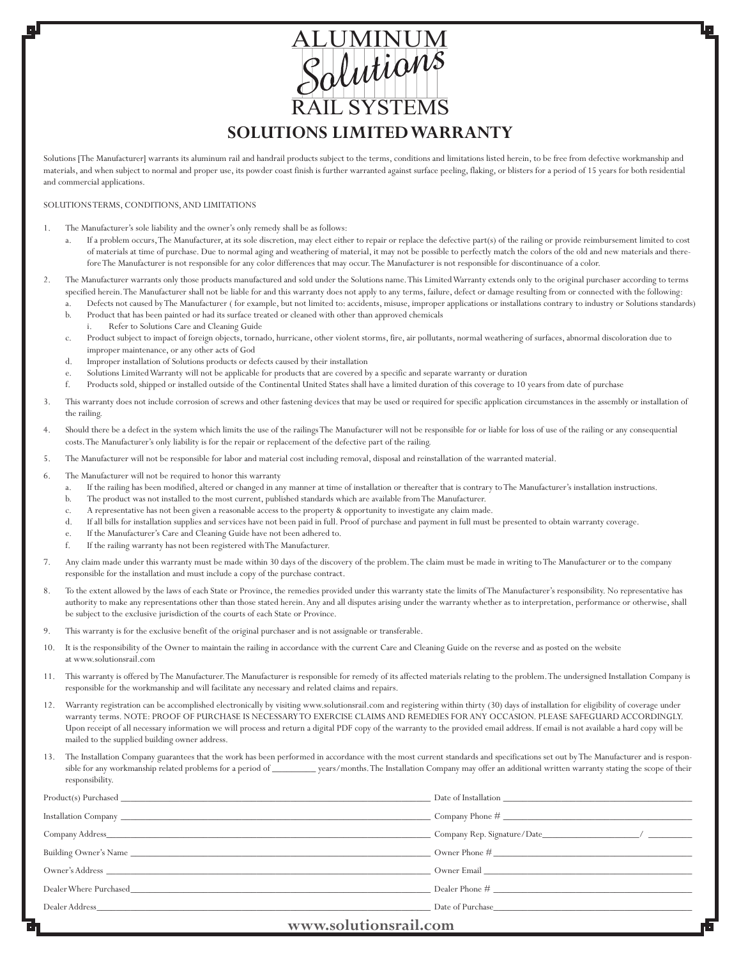# **SOLUTIONS LIMITED WARRANTY** RAIL SYSTEMS ALUMINUM<br>Salutions

Solutions [The Manufacturer] warrants its aluminum rail and handrail products subject to the terms, conditions and limitations listed herein, to be free from defective workmanship and materials, and when subject to normal and proper use, its powder coast finish is further warranted against surface peeling, flaking, or blisters for a period of 15 years for both residential and commercial applications.

#### SOLUTIONS TERMS, CONDITIONS, AND LIMITATIONS

- 1. The Manufacturer's sole liability and the owner's only remedy shall be as follows:
	- If a problem occurs, The Manufacturer, at its sole discretion, may elect either to repair or replace the defective part(s) of the railing or provide reimbursement limited to cost of materials at time of purchase. Due to normal aging and weathering of material, it may not be possible to perfectly match the colors of the old and new materials and therefore The Manufacturer is not responsible for any color differences that may occur. The Manufacturer is not responsible for discontinuance of a color.
- 2. The Manufacturer warrants only those products manufactured and sold under the Solutions name. This Limited Warranty extends only to the original purchaser according to terms specified herein. The Manufacturer shall not be liable for and this warranty does not apply to any terms, failure, defect or damage resulting from or connected with the following:
	- Defects not caused by The Manufacturer (for example, but not limited to: accidents, misuse, improper applications or installations contrary to industry or Solutions standards) b. Product that has been painted or had its surface treated or cleaned with other than approved chemicals
	- i. Refer to Solutions Care and Cleaning Guide
	- c. Product subject to impact of foreign objects, tornado, hurricane, other violent storms, fire, air pollutants, normal weathering of surfaces, abnormal discoloration due to improper maintenance, or any other acts of God
	- d. Improper installation of Solutions products or defects caused by their installation
	- Solutions Limited Warranty will not be applicable for products that are covered by a specific and separate warranty or duration
	- f. Products sold, shipped or installed outside of the Continental United States shall have a limited duration of this coverage to 10 years from date of purchase
- 3. This warranty does not include corrosion of screws and other fastening devices that may be used or required for specific application circumstances in the assembly or installation of the railing.
- 4. Should there be a defect in the system which limits the use of the railings The Manufacturer will not be responsible for or liable for loss of use of the railing or any consequential costs. The Manufacturer's only liability is for the repair or replacement of the defective part of the railing.
- 5. The Manufacturer will not be responsible for labor and material cost including removal, disposal and reinstallation of the warranted material.
- 6. The Manufacturer will not be required to honor this warranty
	- a. If the railing has been modified, altered or changed in any manner at time of installation or thereafter that is contrary to The Manufacturer's installation instructions.
	- b. The product was not installed to the most current, published standards which are available from The Manufacturer.
	- c. A representative has not been given a reasonable access to the property & opportunity to investigate any claim made.
	- d. If all bills for installation supplies and services have not been paid in full. Proof of purchase and payment in full must be presented to obtain warranty coverage.
	- e. If the Manufacturer's Care and Cleaning Guide have not been adhered to.
	- f. If the railing warranty has not been registered with The Manufacturer.
- 7. Any claim made under this warranty must be made within 30 days of the discovery of the problem. The claim must be made in writing to The Manufacturer or to the company responsible for the installation and must include a copy of the purchase contract.
- 8. To the extent allowed by the laws of each State or Province, the remedies provided under this warranty state the limits of The Manufacturer's responsibility. No representative has authority to make any representations other than those stated herein. Any and all disputes arising under the warranty whether as to interpretation, performance or otherwise, shall be subject to the exclusive jurisdiction of the courts of each State or Province.
- 9. This warranty is for the exclusive benefit of the original purchaser and is not assignable or transferable.
- 10. It is the responsibility of the Owner to maintain the railing in accordance with the current Care and Cleaning Guide on the reverse and as posted on the website at www.solutionsrail.com
- 11. This warranty is offered by The Manufacturer. The Manufacturer is responsible for remedy of its affected materials relating to the problem. The undersigned Installation Company is responsible for the workmanship and will facilitate any necessary and related claims and repairs.
- 12. Warranty registration can be accomplished electronically by visiting www.solutionsrail.com and registering within thirty (30) days of installation for eligibility of coverage under warranty terms. NOTE: PROOF OF PURCHASE IS NECESSARY TO EXERCISE CLAIMS AND REMEDIES FOR ANY OCCASION. PLEASE SAFEGUARD ACCORDINGLY. Upon receipt of all necessary information we will process and return a digital PDF copy of the warranty to the provided email address. If email is not available a hard copy will be mailed to the supplied building owner address.
- 13. The Installation Company guarantees that the work has been performed in accordance with the most current standards and specifications set out by The Manufacturer and is responsible for any workmanship related problems for a period of \_\_\_\_\_\_\_\_\_ years/months. The Installation Company may offer an additional written warranty stating the scope of their responsibility.

| $\sim$                                                                                                                                                                                                                         |                 |
|--------------------------------------------------------------------------------------------------------------------------------------------------------------------------------------------------------------------------------|-----------------|
|                                                                                                                                                                                                                                |                 |
| Dealer Where Purchased                                                                                                                                                                                                         |                 |
|                                                                                                                                                                                                                                |                 |
|                                                                                                                                                                                                                                | Owner Phone $#$ |
|                                                                                                                                                                                                                                |                 |
|                                                                                                                                                                                                                                |                 |
| Product(s) Purchased expansion of the state of the state of the state of the state of the state of the state of the state of the state of the state of the state of the state of the state of the state of the state of the st |                 |

### **www.solutionsrail.com**